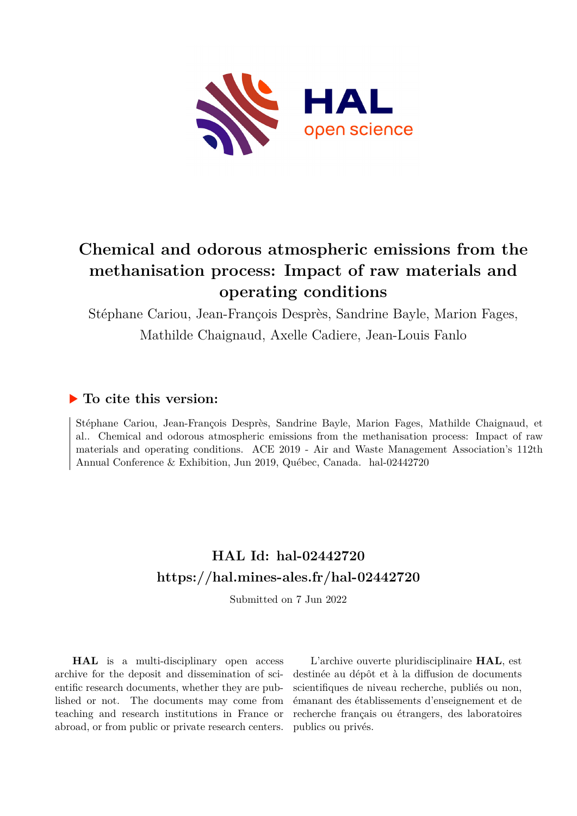

# **Chemical and odorous atmospheric emissions from the methanisation process: Impact of raw materials and operating conditions**

Stéphane Cariou, Jean-François Desprès, Sandrine Bayle, Marion Fages, Mathilde Chaignaud, Axelle Cadiere, Jean-Louis Fanlo

## **To cite this version:**

Stéphane Cariou, Jean-François Desprès, Sandrine Bayle, Marion Fages, Mathilde Chaignaud, et al.. Chemical and odorous atmospheric emissions from the methanisation process: Impact of raw materials and operating conditions. ACE 2019 - Air and Waste Management Association's 112th Annual Conference & Exhibition, Jun 2019, Québec, Canada. hal-02442720

# **HAL Id: hal-02442720 <https://hal.mines-ales.fr/hal-02442720>**

Submitted on 7 Jun 2022

**HAL** is a multi-disciplinary open access archive for the deposit and dissemination of scientific research documents, whether they are published or not. The documents may come from teaching and research institutions in France or abroad, or from public or private research centers.

L'archive ouverte pluridisciplinaire **HAL**, est destinée au dépôt et à la diffusion de documents scientifiques de niveau recherche, publiés ou non, émanant des établissements d'enseignement et de recherche français ou étrangers, des laboratoires publics ou privés.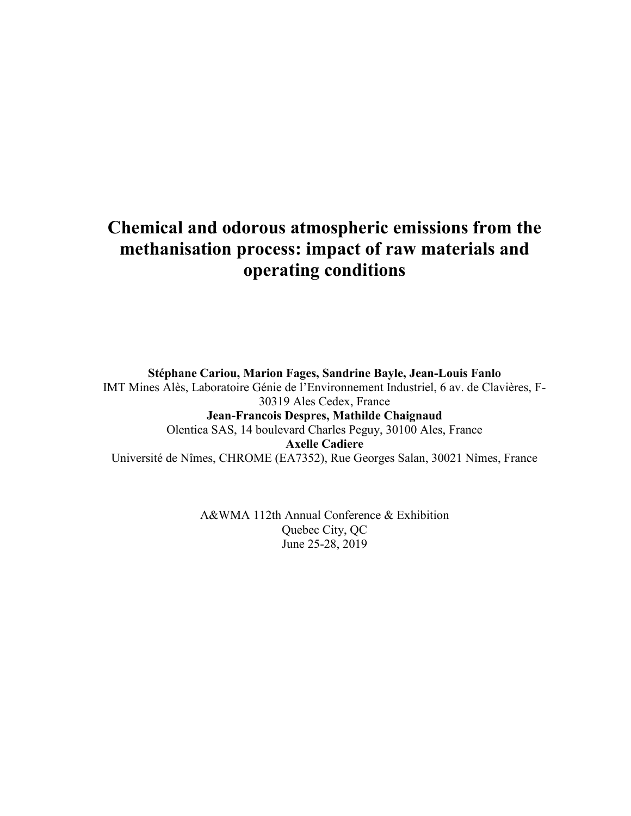# **Chemical and odorous atmospheric emissions from the methanisation process: impact of raw materials and operating conditions**

**Stéphane Cariou, Marion Fages, Sandrine Bayle, Jean-Louis Fanlo** IMT Mines Alès, Laboratoire Génie de l'Environnement Industriel, 6 av. de Clavières, F-30319 Ales Cedex, France **Jean-Francois Despres, Mathilde Chaignaud**  Olentica SAS, 14 boulevard Charles Peguy, 30100 Ales, France **Axelle Cadiere**  Université de Nîmes, CHROME (EA7352), Rue Georges Salan, 30021 Nîmes, France

> A&WMA 112th Annual Conference & Exhibition Quebec City, QC June 25-28, 2019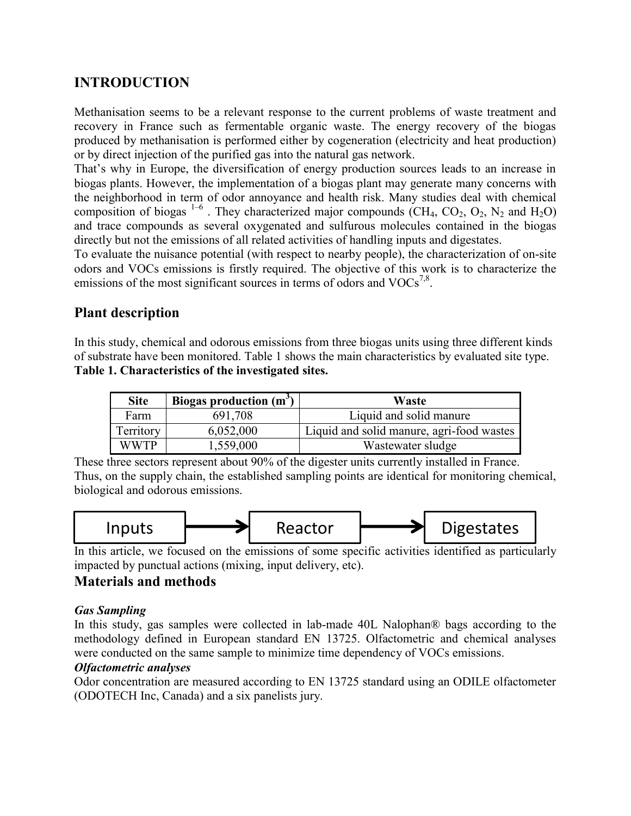# **INTRODUCTION**

Methanisation seems to be a relevant response to the current problems of waste treatment and recovery in France such as fermentable organic waste. The energy recovery of the biogas produced by methanisation is performed either by cogeneration (electricity and heat production) or by direct injection of the purified gas into the natural gas network.

That's why in Europe, the diversification of energy production sources leads to an increase in biogas plants. However, the implementation of a biogas plant may generate many concerns with the neighborhood in term of odor annoyance and health risk. Many studies deal with chemical composition of biogas  $1-6$ . They characterized major compounds (CH<sub>4</sub>, CO<sub>2</sub>, O<sub>2</sub>, N<sub>2</sub> and H<sub>2</sub>O) and trace compounds as several oxygenated and sulfurous molecules contained in the biogas directly but not the emissions of all related activities of handling inputs and digestates.

To evaluate the nuisance potential (with respect to nearby people), the characterization of on-site odors and VOCs emissions is firstly required. The objective of this work is to characterize the emissions of the most significant sources in terms of odors and  $VOCs^{7,8}$ .

## **Plant description**

In this study, chemical and odorous emissions from three biogas units using three different kinds of substrate have been monitored. Table 1 shows the main characteristics by evaluated site type. **Table 1. Characteristics of the investigated sites.** 

| <b>Site</b> | Biogas production $(m^3)$ | Waste                                     |
|-------------|---------------------------|-------------------------------------------|
| Farm        | 691,708                   | Liquid and solid manure                   |
| Territory   | 6,052,000                 | Liquid and solid manure, agri-food wastes |
| <b>WWTP</b> | 1,559,000                 | Wastewater sludge                         |

These three sectors represent about 90% of the digester units currently installed in France. Thus, on the supply chain, the established sampling points are identical for monitoring chemical, biological and odorous emissions.



In this article, we focused on the emissions of some specific activities identified as particularly impacted by punctual actions (mixing, input delivery, etc).

## **Materials and methods**

## *Gas Sampling*

In this study, gas samples were collected in lab-made 40L Nalophan® bags according to the methodology defined in European standard EN 13725. Olfactometric and chemical analyses were conducted on the same sample to minimize time dependency of VOCs emissions.

## *Olfactometric analyses*

Odor concentration are measured according to EN 13725 standard using an ODILE olfactometer (ODOTECH Inc, Canada) and a six panelists jury.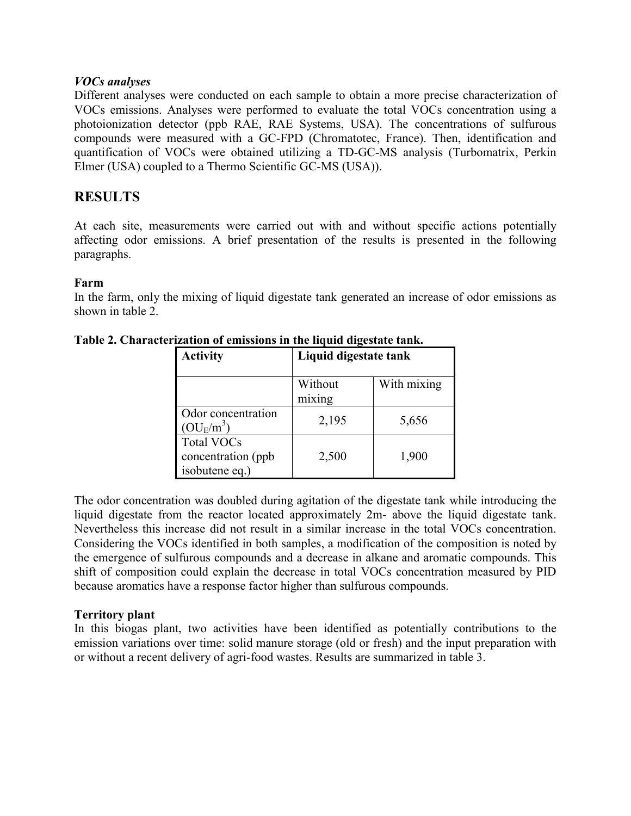#### *VOCs analyses*

Different analyses were conducted on each sample to obtain a more precise characterization of VOCs emissions. Analyses were performed to evaluate the total VOCs concentration using a photoionization detector (ppb RAE, RAE Systems, USA). The concentrations of sulfurous compounds were measured with a GC-FPD (Chromatotec, France). Then, identification and quantification of VOCs were obtained utilizing a TD-GC-MS analysis (Turbomatrix, Perkin Elmer (USA) coupled to a Thermo Scientific GC-MS (USA)).

## **RESULTS**

At each site, measurements were carried out with and without specific actions potentially affecting odor emissions. A brief presentation of the results is presented in the following paragraphs.

#### **Farm**

In the farm, only the mixing of liquid digestate tank generated an increase of odor emissions as shown in table 2.

| <b>Activity</b>                                           | Liquid digestate tank |             |  |
|-----------------------------------------------------------|-----------------------|-------------|--|
|                                                           | Without<br>mixing     | With mixing |  |
| Odor concentration<br>$\rm (OU_F\!/\rm m^3)$              | 2,195                 | 5,656       |  |
| <b>Total VOCs</b><br>concentration (ppb<br>isobutene eq.) | 2,500                 | 1,900       |  |

**Table 2. Characterization of emissions in the liquid digestate tank.** 

The odor concentration was doubled during agitation of the digestate tank while introducing the liquid digestate from the reactor located approximately 2m- above the liquid digestate tank. Nevertheless this increase did not result in a similar increase in the total VOCs concentration. Considering the VOCs identified in both samples, a modification of the composition is noted by the emergence of sulfurous compounds and a decrease in alkane and aromatic compounds. This shift of composition could explain the decrease in total VOCs concentration measured by PID because aromatics have a response factor higher than sulfurous compounds.

## **Territory plant**

In this biogas plant, two activities have been identified as potentially contributions to the emission variations over time: solid manure storage (old or fresh) and the input preparation with or without a recent delivery of agri-food wastes. Results are summarized in table 3.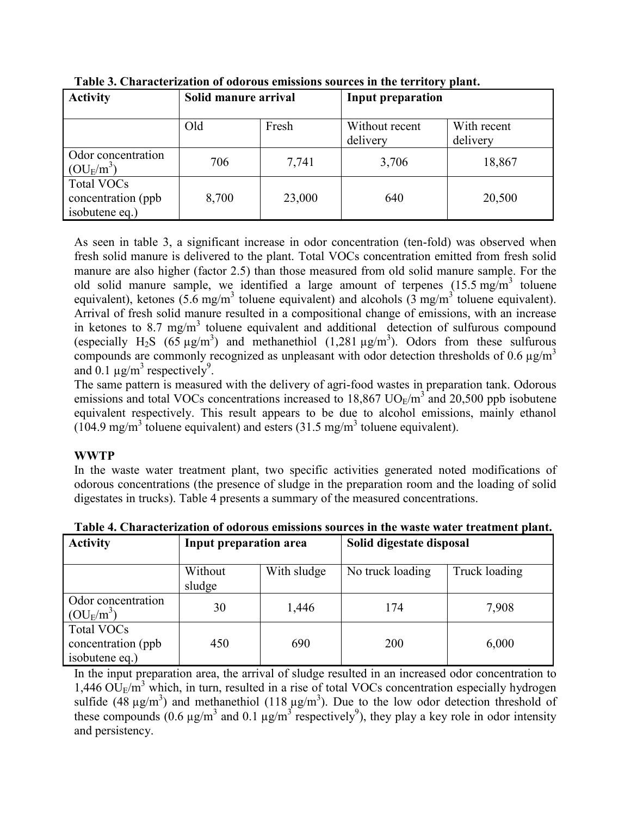| <b>Activity</b>                                            | Solid manure arrival |        | Input preparation          |                         |
|------------------------------------------------------------|----------------------|--------|----------------------------|-------------------------|
|                                                            | Old                  | Fresh  | Without recent<br>delivery | With recent<br>delivery |
| Odor concentration<br>$\rm (OU_F/m^3)$                     | 706                  | 7,741  | 3,706                      | 18,867                  |
| <b>Total VOCs</b><br>concentration (ppb)<br>isobutene eq.) | 8,700                | 23,000 | 640                        | 20,500                  |

**Table 3. Characterization of odorous emissions sources in the territory plant.**

As seen in table 3, a significant increase in odor concentration (ten-fold) was observed when fresh solid manure is delivered to the plant. Total VOCs concentration emitted from fresh solid manure are also higher (factor 2.5) than those measured from old solid manure sample. For the old solid manure sample, we identified a large amount of terpenes  $(15.5 \text{ mg/m}^3)$  toluene equivalent), ketones  $(5.6 \text{ mg/m}^3$  toluene equivalent) and alcohols  $(3 \text{ mg/m}^3)$  toluene equivalent). Arrival of fresh solid manure resulted in a compositional change of emissions, with an increase in ketones to  $8.7 \text{ mg/m}^3$  toluene equivalent and additional detection of sulfurous compound (especially H<sub>2</sub>S (65  $\mu$ g/m<sup>3</sup>) and methanethiol (1,281  $\mu$ g/m<sup>3</sup>). Odors from these sulfurous compounds are commonly recognized as unpleasant with odor detection thresholds of 0.6  $\mu$ g/m<sup>3</sup> and 0.1  $\mu$ g/m<sup>3</sup> respectively<sup>9</sup>.

The same pattern is measured with the delivery of agri-food wastes in preparation tank. Odorous emissions and total VOCs concentrations increased to  $18,867$  UO<sub>E</sub>/m<sup>3</sup> and 20,500 ppb isobutene equivalent respectively. This result appears to be due to alcohol emissions, mainly ethanol  $(104.9 \text{ mg/m}^3 \text{ to}$ luene equivalent) and esters  $(31.5 \text{ mg/m}^3 \text{ to}$ luene equivalent).

## **WWTP**

In the waste water treatment plant, two specific activities generated noted modifications of odorous concentrations (the presence of sludge in the preparation room and the loading of solid digestates in trucks). Table 4 presents a summary of the measured concentrations.

| <b>Activity</b>                                            | Input preparation area |             | Solid digestate disposal |               |
|------------------------------------------------------------|------------------------|-------------|--------------------------|---------------|
|                                                            | Without<br>sludge      | With sludge | No truck loading         | Truck loading |
| Odor concentration<br>$\rm (OU_E/m^3)$                     | 30                     | 1,446       | 174                      | 7,908         |
| <b>Total VOCs</b><br>concentration (ppb)<br>isobutene eq.) | 450                    | 690         | 200                      | 6,000         |

**Table 4. Characterization of odorous emissions sources in the waste water treatment plant.**

In the input preparation area, the arrival of sludge resulted in an increased odor concentration to  $1,446$  OU<sub>E</sub>/m<sup>3</sup> which, in turn, resulted in a rise of total VOCs concentration especially hydrogen sulfide (48  $\mu$ g/m<sup>3</sup>) and methanethiol (118  $\mu$ g/m<sup>3</sup>). Due to the low odor detection threshold of these compounds (0.6  $\mu$ g/m<sup>3</sup> and 0.1  $\mu$ g/m<sup>3</sup> respectively<sup>9</sup>), they play a key role in odor intensity and persistency.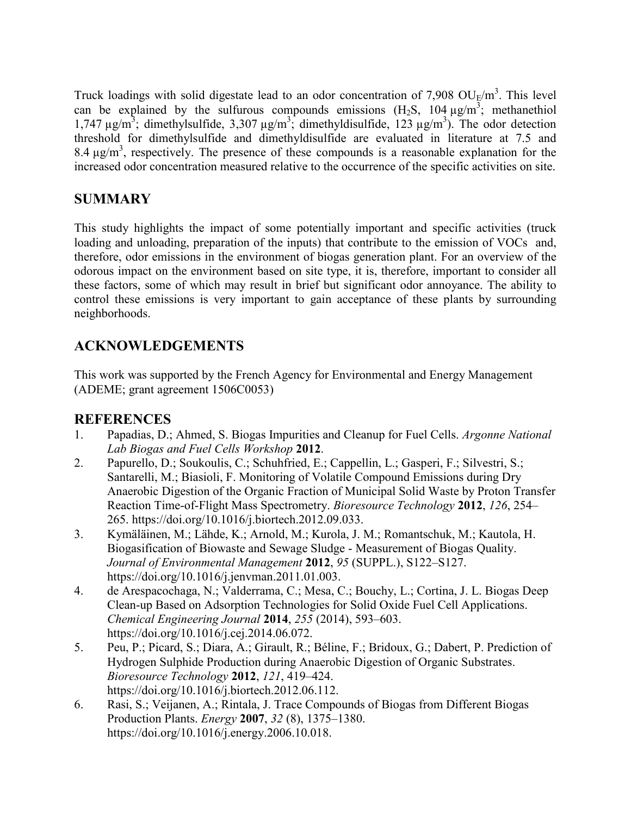Truck loadings with solid digestate lead to an odor concentration of 7,908  $OU_E/m^3$ . This level can be explained by the sulfurous compounds emissions  $(H_2S, 104 \mu g/m^3)$ ; methanethiol 1,747  $\mu$ g/m<sup>3</sup>; dimethylsulfide, 3,307  $\mu$ g/m<sup>3</sup>; dimethyldisulfide, 123  $\mu$ g/m<sup>3</sup>). The odor detection threshold for dimethylsulfide and dimethyldisulfide are evaluated in literature at 7.5 and 8.4  $\mu$ g/m<sup>3</sup>, respectively. The presence of these compounds is a reasonable explanation for the increased odor concentration measured relative to the occurrence of the specific activities on site.

# **SUMMARY**

This study highlights the impact of some potentially important and specific activities (truck loading and unloading, preparation of the inputs) that contribute to the emission of VOCs and, therefore, odor emissions in the environment of biogas generation plant. For an overview of the odorous impact on the environment based on site type, it is, therefore, important to consider all these factors, some of which may result in brief but significant odor annoyance. The ability to control these emissions is very important to gain acceptance of these plants by surrounding neighborhoods.

# **ACKNOWLEDGEMENTS**

This work was supported by the French Agency for Environmental and Energy Management (ADEME; grant agreement 1506C0053)

## **REFERENCES**

- 1. Papadias, D.; Ahmed, S. Biogas Impurities and Cleanup for Fuel Cells. *Argonne National Lab Biogas and Fuel Cells Workshop* **2012**.
- 2. Papurello, D.; Soukoulis, C.; Schuhfried, E.; Cappellin, L.; Gasperi, F.; Silvestri, S.; Santarelli, M.; Biasioli, F. Monitoring of Volatile Compound Emissions during Dry Anaerobic Digestion of the Organic Fraction of Municipal Solid Waste by Proton Transfer Reaction Time-of-Flight Mass Spectrometry. *Bioresource Technology* **2012**, *126*, 254– 265. https://doi.org/10.1016/j.biortech.2012.09.033.
- 3. Kymäläinen, M.; Lähde, K.; Arnold, M.; Kurola, J. M.; Romantschuk, M.; Kautola, H. Biogasification of Biowaste and Sewage Sludge - Measurement of Biogas Quality. *Journal of Environmental Management* **2012**, *95* (SUPPL.), S122–S127. https://doi.org/10.1016/j.jenvman.2011.01.003.
- 4. de Arespacochaga, N.; Valderrama, C.; Mesa, C.; Bouchy, L.; Cortina, J. L. Biogas Deep Clean-up Based on Adsorption Technologies for Solid Oxide Fuel Cell Applications. *Chemical Engineering Journal* **2014**, *255* (2014), 593–603. https://doi.org/10.1016/j.cej.2014.06.072.
- 5. Peu, P.; Picard, S.; Diara, A.; Girault, R.; Béline, F.; Bridoux, G.; Dabert, P. Prediction of Hydrogen Sulphide Production during Anaerobic Digestion of Organic Substrates. *Bioresource Technology* **2012**, *121*, 419–424. https://doi.org/10.1016/j.biortech.2012.06.112.
- 6. Rasi, S.; Veijanen, A.; Rintala, J. Trace Compounds of Biogas from Different Biogas Production Plants. *Energy* **2007**, *32* (8), 1375–1380. https://doi.org/10.1016/j.energy.2006.10.018.